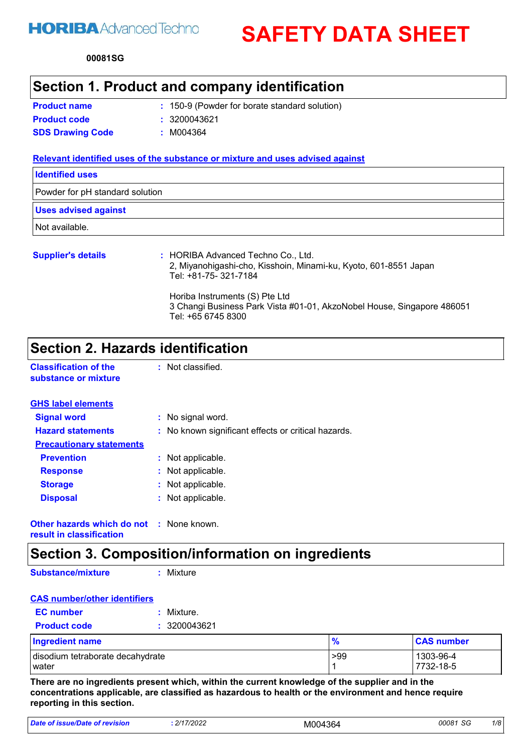# **HORIBA** Advanced Techno

**SAFETY DATA SHEET**

**00081 SG**

### **Section 1. Product and company identification**

| <b>Product name</b>     |  |
|-------------------------|--|
| <b>Product code</b>     |  |
| <b>SDS Drawing Code</b> |  |

150-9 (Powder for borate standard solution) **: Product code :** 3200043621

**SDS Drawing Code :** M004364

#### **Relevant identified uses of the substance or mixture and uses advised against**

| <b>Identified uses</b>          |                                    |
|---------------------------------|------------------------------------|
| Powder for pH standard solution |                                    |
| <b>Uses advised against</b>     |                                    |
| Not available.                  |                                    |
| <b>Supplier's details</b>       | : HORIBA Advanced Techno Co., Ltd. |

### 2, Miyanohigashi-cho, Kisshoin, Minami-ku, Kyoto, 601-8551 Japan Tel: +81-75- 321-7184 Horiba Instruments (S) Pte Ltd 3 Changi Business Park Vista #01-01, AkzoNobel House, Singapore 486051 Tel: +65 6745 8300

## **Section 2. Hazards identification**

**Classification of the substance or mixture** : Not classified.

| <b>GHS label elements</b>       |                                                     |
|---------------------------------|-----------------------------------------------------|
| <b>Signal word</b>              | : No signal word.                                   |
| <b>Hazard statements</b>        | : No known significant effects or critical hazards. |
| <b>Precautionary statements</b> |                                                     |
| <b>Prevention</b>               | : Not applicable.                                   |
| <b>Response</b>                 | : Not applicable.                                   |
| <b>Storage</b>                  | : Not applicable.                                   |
| <b>Disposal</b>                 | : Not applicable.                                   |
|                                 |                                                     |
|                                 |                                                     |

**Other hazards which do not :** None known. **result in classification**

## **Section 3. Composition/information on ingredients**

**Substance/mixture**

**:** Mixture

#### **CAS number/other identifiers Product code :** 3200043621 **EC number :** Mixture.

| <b>Ingredient name</b>           | 70  | <b>CAS number</b> |
|----------------------------------|-----|-------------------|
| disodium tetraborate decahydrate | >99 | 1303-96-4         |
| l water                          |     | 7732-18-5         |

**There are no ingredients present which, within the current knowledge of the supplier and in the concentrations applicable, are classified as hazardous to health or the environment and hence require reporting in this section.**

| Date of issue/Date of revision | 2/17/2022 | M004364 | 00081 SG<br>تاد | 1/8 |  |
|--------------------------------|-----------|---------|-----------------|-----|--|
|--------------------------------|-----------|---------|-----------------|-----|--|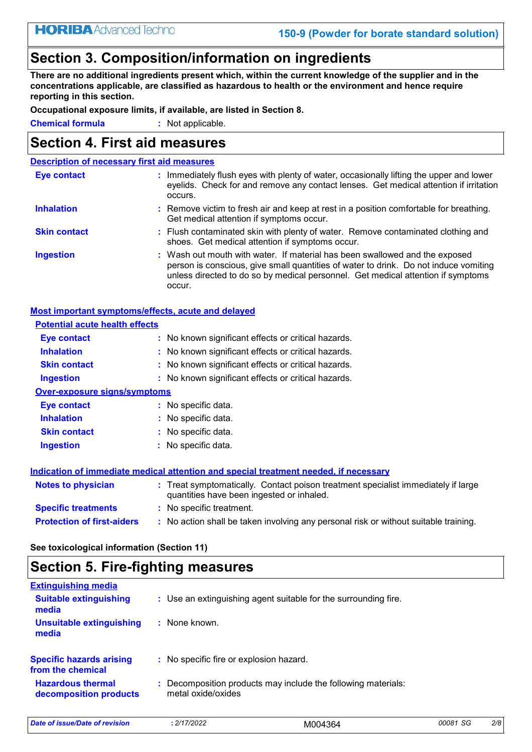# **Section 3. Composition/information on ingredients**

**There are no additional ingredients present which, within the current knowledge of the supplier and in the concentrations applicable, are classified as hazardous to health or the environment and hence require reporting in this section.**

**Occupational exposure limits, if available, are listed in Section 8.**

**Chemical formula :** Not applicable.

### **Section 4. First aid measures**

| <b>Description of necessary first aid measures</b> |                                                                                                                                                                                                                                                                   |
|----------------------------------------------------|-------------------------------------------------------------------------------------------------------------------------------------------------------------------------------------------------------------------------------------------------------------------|
| <b>Eye contact</b>                                 | : Immediately flush eyes with plenty of water, occasionally lifting the upper and lower<br>eyelids. Check for and remove any contact lenses. Get medical attention if irritation<br>occurs.                                                                       |
| <b>Inhalation</b>                                  | : Remove victim to fresh air and keep at rest in a position comfortable for breathing.<br>Get medical attention if symptoms occur.                                                                                                                                |
| <b>Skin contact</b>                                | : Flush contaminated skin with plenty of water. Remove contaminated clothing and<br>shoes. Get medical attention if symptoms occur.                                                                                                                               |
| <b>Ingestion</b>                                   | : Wash out mouth with water. If material has been swallowed and the exposed<br>person is conscious, give small quantities of water to drink. Do not induce vomiting<br>unless directed to do so by medical personnel. Get medical attention if symptoms<br>occur. |

#### **Most important symptoms/effects, acute and delayed**

| <b>Potential acute health effects</b> |                                                                                                                                |
|---------------------------------------|--------------------------------------------------------------------------------------------------------------------------------|
| <b>Eye contact</b>                    | : No known significant effects or critical hazards.                                                                            |
| <b>Inhalation</b>                     | : No known significant effects or critical hazards.                                                                            |
| <b>Skin contact</b>                   | : No known significant effects or critical hazards.                                                                            |
| <b>Ingestion</b>                      | : No known significant effects or critical hazards.                                                                            |
| <b>Over-exposure signs/symptoms</b>   |                                                                                                                                |
| Eye contact                           | : No specific data.                                                                                                            |
| <b>Inhalation</b>                     | : No specific data.                                                                                                            |
| <b>Skin contact</b>                   | $:$ No specific data.                                                                                                          |
| <b>Ingestion</b>                      | : No specific data.                                                                                                            |
|                                       | Indication of immediate medical attention and special treatment needed, if necessary                                           |
| <b>Notes to physician</b>             | : Treat symptomatically. Contact poison treatment specialist immediately if large<br>quantities have been ingested or inhaled. |
| <b>Specific treatments</b>            | : No specific treatment.                                                                                                       |
| <b>Protection of first-aiders</b>     | : No action shall be taken involving any personal risk or without suitable training.                                           |

**See toxicological information (Section 11)**

# **Section 5. Fire-fighting measures**

| <b>Extinguishing media</b>                           |                    |                                                                 |          |     |
|------------------------------------------------------|--------------------|-----------------------------------------------------------------|----------|-----|
| <b>Suitable extinguishing</b><br>media               |                    | : Use an extinguishing agent suitable for the surrounding fire. |          |     |
| <b>Unsuitable extinguishing</b><br>media             | $:$ None known.    |                                                                 |          |     |
| <b>Specific hazards arising</b><br>from the chemical |                    | : No specific fire or explosion hazard.                         |          |     |
| <b>Hazardous thermal</b><br>decomposition products   | metal oxide/oxides | : Decomposition products may include the following materials:   |          |     |
| Date of issue/Date of revision                       | : 2/17/2022        | M004364                                                         | 00081 SG | 2/8 |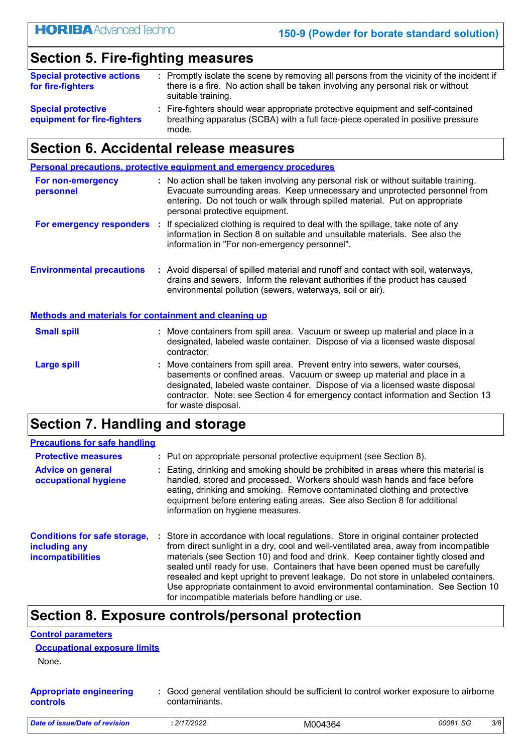# **Section 5. Fire-fighting measures**

| <b>Special protective actions</b><br>for fire-fighters   | : Promptly isolate the scene by removing all persons from the vicinity of the incident if<br>there is a fire. No action shall be taken involving any personal risk or without<br>suitable training. |
|----------------------------------------------------------|-----------------------------------------------------------------------------------------------------------------------------------------------------------------------------------------------------|
| <b>Special protective</b><br>equipment for fire-fighters | : Fire-fighters should wear appropriate protective equipment and self-contained<br>breathing apparatus (SCBA) with a full face-piece operated in positive pressure<br>mode.                         |

## **Section 6. Accidental release measures**

|                                  |     | Personal precautions, protective equipment and emergency procedures                                                                                                                                                                                                                  |
|----------------------------------|-----|--------------------------------------------------------------------------------------------------------------------------------------------------------------------------------------------------------------------------------------------------------------------------------------|
| For non-emergency<br>personnel   |     | : No action shall be taken involving any personal risk or without suitable training.<br>Evacuate surrounding areas. Keep unnecessary and unprotected personnel from<br>entering. Do not touch or walk through spilled material. Put on appropriate<br>personal protective equipment. |
| For emergency responders         | -11 | If specialized clothing is required to deal with the spillage, take note of any<br>information in Section 8 on suitable and unsuitable materials. See also the<br>information in "For non-emergency personnel".                                                                      |
| <b>Environmental precautions</b> |     | : Avoid dispersal of spilled material and runoff and contact with soil, waterways,<br>drains and sewers. Inform the relevant authorities if the product has caused<br>environmental pollution (sewers, waterways, soil or air).                                                      |

#### **Methods and materials for containment and cleaning up**

| <b>Small spill</b> | : Move containers from spill area. Vacuum or sweep up material and place in a<br>designated, labeled waste container. Dispose of via a licensed waste disposal<br>contractor.                                                                                                                                                                       |
|--------------------|-----------------------------------------------------------------------------------------------------------------------------------------------------------------------------------------------------------------------------------------------------------------------------------------------------------------------------------------------------|
| Large spill        | : Move containers from spill area. Prevent entry into sewers, water courses,<br>basements or confined areas. Vacuum or sweep up material and place in a<br>designated, labeled waste container. Dispose of via a licensed waste disposal<br>contractor. Note: see Section 4 for emergency contact information and Section 13<br>for waste disposal. |

# **Section 7. Handling and storage**

| <b>Precautions for safe handling</b>                                             |                                                                                                                                                                                                                                                                                                                                                                                                                                                                                                                                                                                    |
|----------------------------------------------------------------------------------|------------------------------------------------------------------------------------------------------------------------------------------------------------------------------------------------------------------------------------------------------------------------------------------------------------------------------------------------------------------------------------------------------------------------------------------------------------------------------------------------------------------------------------------------------------------------------------|
| <b>Protective measures</b>                                                       | : Put on appropriate personal protective equipment (see Section 8).                                                                                                                                                                                                                                                                                                                                                                                                                                                                                                                |
| <b>Advice on general</b><br>occupational hygiene                                 | : Eating, drinking and smoking should be prohibited in areas where this material is<br>handled, stored and processed. Workers should wash hands and face before<br>eating, drinking and smoking. Remove contaminated clothing and protective<br>equipment before entering eating areas. See also Section 8 for additional<br>information on hygiene measures.                                                                                                                                                                                                                      |
| <b>Conditions for safe storage,</b><br>including any<br><b>incompatibilities</b> | : Store in accordance with local regulations. Store in original container protected<br>from direct sunlight in a dry, cool and well-ventilated area, away from incompatible<br>materials (see Section 10) and food and drink. Keep container tightly closed and<br>sealed until ready for use. Containers that have been opened must be carefully<br>resealed and kept upright to prevent leakage. Do not store in unlabeled containers.<br>Use appropriate containment to avoid environmental contamination. See Section 10<br>for incompatible materials before handling or use. |

## **Section 8. Exposure controls/personal protection**

|--|

```
Occupational exposure limits
```
None.

**Appropriate engineering controls :** Good general ventilation should be sufficient to control worker exposure to airborne contaminants.

| Date of issue/Date of revision | 2/17/2022 | M004364 | 00081 SG | 3/8 |  |
|--------------------------------|-----------|---------|----------|-----|--|
|                                |           |         |          |     |  |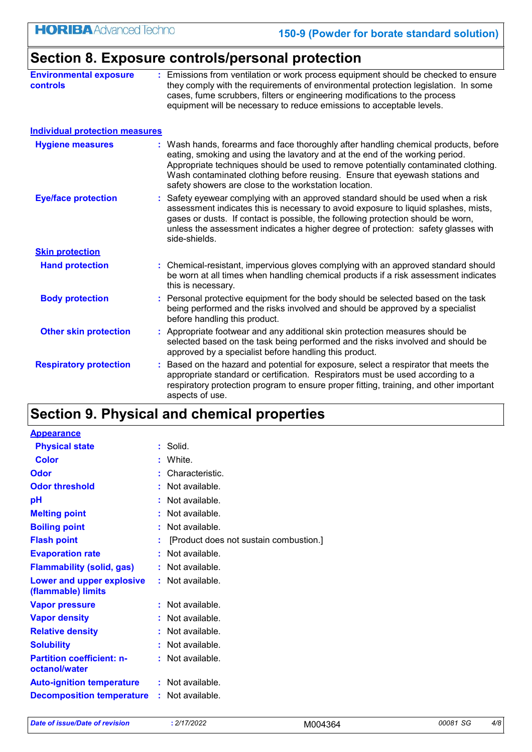|                                           | Section 8. Exposure controls/personal protection                                                                                                                                                                                                                                                                                                                                                  |
|-------------------------------------------|---------------------------------------------------------------------------------------------------------------------------------------------------------------------------------------------------------------------------------------------------------------------------------------------------------------------------------------------------------------------------------------------------|
| <b>Environmental exposure</b><br>controls | : Emissions from ventilation or work process equipment should be checked to ensure<br>they comply with the requirements of environmental protection legislation. In some<br>cases, fume scrubbers, filters or engineering modifications to the process<br>equipment will be necessary to reduce emissions to acceptable levels.                                                                   |
| <b>Individual protection measures</b>     |                                                                                                                                                                                                                                                                                                                                                                                                   |
| <b>Hygiene measures</b>                   | : Wash hands, forearms and face thoroughly after handling chemical products, before<br>eating, smoking and using the lavatory and at the end of the working period.<br>Appropriate techniques should be used to remove potentially contaminated clothing.<br>Wash contaminated clothing before reusing. Ensure that eyewash stations and<br>safety showers are close to the workstation location. |
| <b>Eye/face protection</b>                | Safety eyewear complying with an approved standard should be used when a risk<br>assessment indicates this is necessary to avoid exposure to liquid splashes, mists,<br>gases or dusts. If contact is possible, the following protection should be worn,<br>unless the assessment indicates a higher degree of protection: safety glasses with<br>side-shields.                                   |
| <b>Skin protection</b>                    |                                                                                                                                                                                                                                                                                                                                                                                                   |
| <b>Hand protection</b>                    | : Chemical-resistant, impervious gloves complying with an approved standard should<br>be worn at all times when handling chemical products if a risk assessment indicates<br>this is necessary.                                                                                                                                                                                                   |
| <b>Body protection</b>                    | : Personal protective equipment for the body should be selected based on the task<br>being performed and the risks involved and should be approved by a specialist<br>before handling this product.                                                                                                                                                                                               |
| <b>Other skin protection</b>              | : Appropriate footwear and any additional skin protection measures should be<br>selected based on the task being performed and the risks involved and should be<br>approved by a specialist before handling this product.                                                                                                                                                                         |
| <b>Respiratory protection</b>             | Based on the hazard and potential for exposure, select a respirator that meets the<br>appropriate standard or certification. Respirators must be used according to a<br>respiratory protection program to ensure proper fitting, training, and other important<br>aspects of use.                                                                                                                 |

# **Section 9. Physical and chemical properties**

| <b>Appearance</b>                                 |    |                                        |
|---------------------------------------------------|----|----------------------------------------|
| <b>Physical state</b>                             | ř. | Solid.                                 |
| Color                                             | t  | White.                                 |
| Odor                                              | t  | Characteristic.                        |
| <b>Odor threshold</b>                             |    | Not available.                         |
| рH                                                |    | Not available.                         |
| <b>Melting point</b>                              |    | Not available.                         |
| <b>Boiling point</b>                              | ÷  | Not available.                         |
| <b>Flash point</b>                                |    | [Product does not sustain combustion.] |
| <b>Evaporation rate</b>                           |    | Not available.                         |
| <b>Flammability (solid, gas)</b>                  |    | Not available.                         |
| Lower and upper explosive<br>(flammable) limits   |    | : Not available.                       |
| <b>Vapor pressure</b>                             |    | Not available.                         |
| <b>Vapor density</b>                              |    | Not available.                         |
| <b>Relative density</b>                           |    | Not available.                         |
| <b>Solubility</b>                                 |    | Not available.                         |
| <b>Partition coefficient: n-</b><br>octanol/water |    | Not available.                         |
| <b>Auto-ignition temperature</b>                  |    | : Not available.                       |
| <b>Decomposition temperature</b>                  |    | : Not available.                       |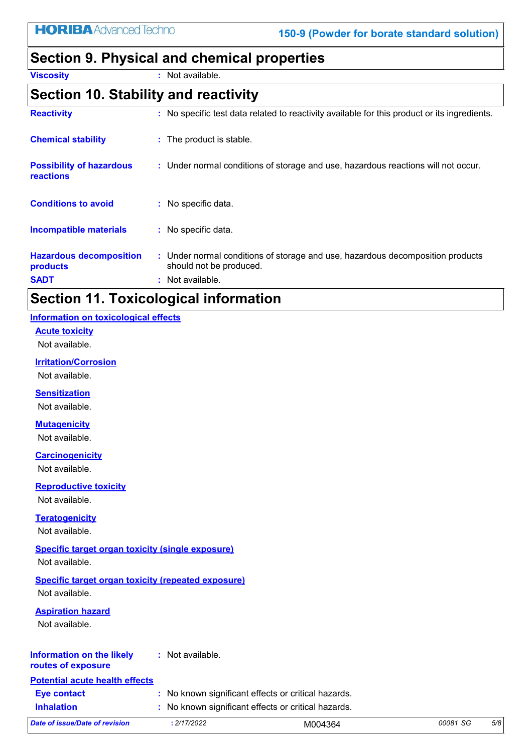# **Section 9. Physical and chemical properties**

**Viscosity :** Not available.

### **Section 10. Stability and reactivity**

| <b>Reactivity</b>                                         | : No specific test data related to reactivity available for this product or its ingredients.                                  |
|-----------------------------------------------------------|-------------------------------------------------------------------------------------------------------------------------------|
| <b>Chemical stability</b>                                 | : The product is stable.                                                                                                      |
| <b>Possibility of hazardous</b><br>reactions              | : Under normal conditions of storage and use, hazardous reactions will not occur.                                             |
| <b>Conditions to avoid</b>                                | : No specific data.                                                                                                           |
| <b>Incompatible materials</b>                             | : No specific data.                                                                                                           |
| <b>Hazardous decomposition</b><br>products<br><b>SADT</b> | : Under normal conditions of storage and use, hazardous decomposition products<br>should not be produced.<br>: Not available. |

# **Section 11. Toxicological information**

#### **Information on toxicological effects**

**Acute toxicity**

Not available.

#### **Irritation/Corrosion**

Not available.

#### **Sensitization**

Not available.

#### **Mutagenicity**

Not available.

#### **Carcinogenicity**

Not available.

#### **Reproductive toxicity**

Not available.

#### **Teratogenicity**

Not available.

#### **Specific target organ toxicity (single exposure)**

Not available.

#### **Specific target organ toxicity (repeated exposure)**

Not available.

#### **Aspiration hazard**

Not available.

#### **Information on the likely :** Not available.

#### **routes of exposure**

**Potential acute health effects**

**Inhalation <b>:** No known significant effects or critical hazards.

| 2/17/2022<br>Date of issue/Date of revision | 00081 SG<br>5/8<br>M004364 |  |
|---------------------------------------------|----------------------------|--|
|---------------------------------------------|----------------------------|--|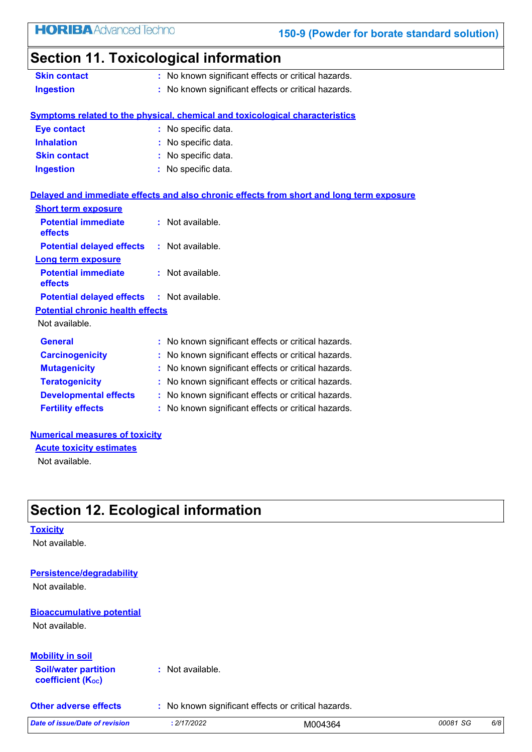# **Section 11. Toxicological information**

| <b>Skin contact</b> | : No known significant effects or critical hazards. |  |
|---------------------|-----------------------------------------------------|--|
| <b>Ingestion</b>    | : No known significant effects or critical hazards. |  |

#### **Symptoms related to the physical, chemical and toxicological characteristics**

| <b>Eye contact</b>  | : No specific data. |
|---------------------|---------------------|
| <b>Inhalation</b>   | : No specific data. |
| <b>Skin contact</b> | : No specific data. |
| <b>Ingestion</b>    | : No specific data. |

#### **Delayed and immediate effects and also chronic effects from short and long term exposure**

| : Not available.                                    |
|-----------------------------------------------------|
| : Not available.                                    |
|                                                     |
| : Not available.                                    |
| <b>Potential delayed effects : Not available.</b>   |
|                                                     |
|                                                     |
| : No known significant effects or critical hazards. |
| No known significant effects or critical hazards.   |
| No known significant effects or critical hazards.   |
| No known significant effects or critical hazards.   |
| No known significant effects or critical hazards.   |
| No known significant effects or critical hazards.   |
| <b>Potential chronic health effects</b>             |

#### **Numerical measures of toxicity**

**Acute toxicity estimates**

Not available.

# **Section 12. Ecological information**

#### **Toxicity**

Not available.

#### **Persistence/degradability**

Not available.

# **Bioaccumulative potential**

Not available.

#### **Mobility in soil**

**Soil/water partition coefficient (Koc) :** Not available.

**Other adverse effects** : No known significant effects or critical hazards.

| Date of issue/Date of<br>of revision | 2/17/2022 | M004364<br>. | 00081 SG<br>تاد | 6/8 |  |
|--------------------------------------|-----------|--------------|-----------------|-----|--|
|--------------------------------------|-----------|--------------|-----------------|-----|--|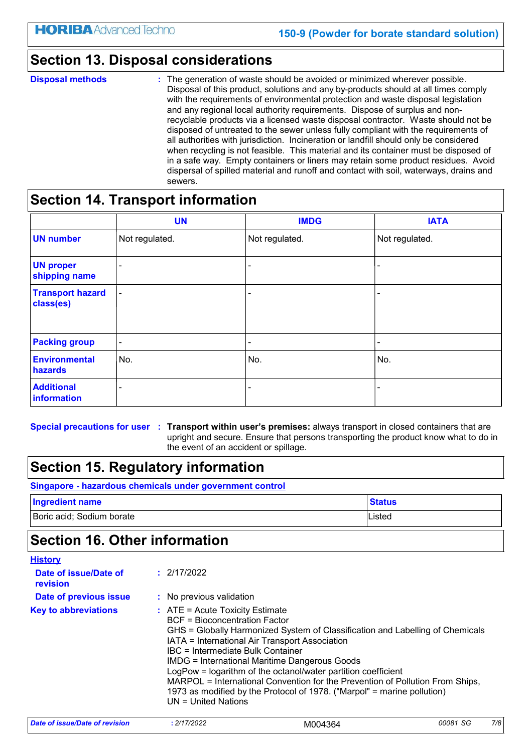### **Section 13. Disposal considerations**

#### **Disposal methods :**

The generation of waste should be avoided or minimized wherever possible. Disposal of this product, solutions and any by-products should at all times comply with the requirements of environmental protection and waste disposal legislation and any regional local authority requirements. Dispose of surplus and nonrecyclable products via a licensed waste disposal contractor. Waste should not be disposed of untreated to the sewer unless fully compliant with the requirements of all authorities with jurisdiction. Incineration or landfill should only be considered when recycling is not feasible. This material and its container must be disposed of in a safe way. Empty containers or liners may retain some product residues. Avoid dispersal of spilled material and runoff and contact with soil, waterways, drains and sewers.

## **Section 14. Transport information**

|                                      | <b>UN</b>                | <b>IMDG</b>    | <b>IATA</b>    |
|--------------------------------------|--------------------------|----------------|----------------|
| <b>UN number</b>                     | Not regulated.           | Not regulated. | Not regulated. |
| <b>UN proper</b><br>shipping name    | $\overline{\phantom{0}}$ | -              |                |
| <b>Transport hazard</b><br>class(es) | $\overline{\phantom{a}}$ | -              |                |
| <b>Packing group</b>                 | $\blacksquare$           | ۰              | ۰              |
| <b>Environmental</b><br>hazards      | No.                      | No.            | No.            |
| <b>Additional</b><br>information     | $\overline{\phantom{a}}$ | -              |                |

**Special precautions for user Transport within user's premises:** always transport in closed containers that are **:** upright and secure. Ensure that persons transporting the product know what to do in the event of an accident or spillage.

# **Section 15. Regulatory information**

| Singapore - hazardous chemicals under government control |               |
|----------------------------------------------------------|---------------|
| <b>Ingredient name</b>                                   | <b>Status</b> |

Boric acid; Sodium borate Listed and Contract and Contract and Listed Listed and Listed

# **Section 16. Other information**

| <b>History</b>                    |                                                                                                                                                                                                                                                                                                                                                                                                                                                                                                                                                                 |
|-----------------------------------|-----------------------------------------------------------------------------------------------------------------------------------------------------------------------------------------------------------------------------------------------------------------------------------------------------------------------------------------------------------------------------------------------------------------------------------------------------------------------------------------------------------------------------------------------------------------|
| Date of issue/Date of<br>revision | : 2/17/2022                                                                                                                                                                                                                                                                                                                                                                                                                                                                                                                                                     |
| <b>Date of previous issue</b>     | : No previous validation                                                                                                                                                                                                                                                                                                                                                                                                                                                                                                                                        |
| <b>Key to abbreviations</b>       | $:$ ATE = Acute Toxicity Estimate<br><b>BCF</b> = Bioconcentration Factor<br>GHS = Globally Harmonized System of Classification and Labelling of Chemicals<br>IATA = International Air Transport Association<br>IBC = Intermediate Bulk Container<br><b>IMDG = International Maritime Dangerous Goods</b><br>LogPow = logarithm of the octanol/water partition coefficient<br>MARPOL = International Convention for the Prevention of Pollution From Ships,<br>1973 as modified by the Protocol of 1978. ("Marpol" = marine pollution)<br>$UN = United Nations$ |